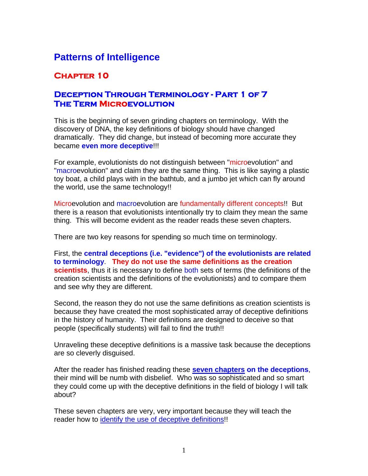# **Patterns of Intelligence**

## **Chapter 10**

### **Deception Through Terminology - Part 1 of 7 The Term Microevolution**

This is the beginning of seven grinding chapters on terminology. With the discovery of DNA, the key definitions of biology should have changed dramatically. They did change, but instead of becoming more accurate they became **even more deceptive**!!!

For example, evolutionists do not distinguish between "microevolution" and "macroevolution" and claim they are the same thing. This is like saying a plastic toy boat, a child plays with in the bathtub, and a jumbo jet which can fly around the world, use the same technology!!

Microevolution and macroevolution are fundamentally different concepts!! But there is a reason that evolutionists intentionally try to claim they mean the same thing. This will become evident as the reader reads these seven chapters.

There are two key reasons for spending so much time on terminology.

First, the **central deceptions (i.e. "evidence") of the evolutionists are related to terminology**. **They do not use the same definitions as the creation scientists**, thus it is necessary to define both sets of terms (the definitions of the creation scientists and the definitions of the evolutionists) and to compare them and see why they are different.

Second, the reason they do not use the same definitions as creation scientists is because they have created the most sophisticated array of deceptive definitions in the history of humanity. Their definitions are designed to deceive so that people (specifically students) will fail to find the truth!!

Unraveling these deceptive definitions is a massive task because the deceptions are so cleverly disguised.

After the reader has finished reading these **seven chapters on the deceptions**, their mind will be numb with disbelief. Who was so sophisticated and so smart they could come up with the deceptive definitions in the field of biology I will talk about?

These seven chapters are very, very important because they will teach the reader how to identify the use of deceptive definitions!!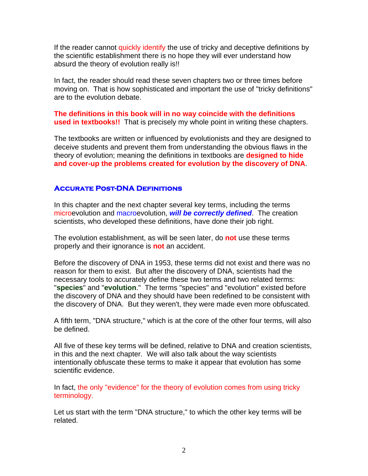If the reader cannot quickly identify the use of tricky and deceptive definitions by the scientific establishment there is no hope they will ever understand how absurd the theory of evolution really is!!

In fact, the reader should read these seven chapters two or three times before moving on. That is how sophisticated and important the use of "tricky definitions" are to the evolution debate.

**The definitions in this book will in no way coincide with the definitions used in textbooks!!** That is precisely my whole point in writing these chapters.

The textbooks are written or influenced by evolutionists and they are designed to deceive students and prevent them from understanding the obvious flaws in the theory of evolution; meaning the definitions in textbooks are **designed to hide and cover-up the problems created for evolution by the discovery of DNA**.

#### **Accurate Post-DNA Definitions**

In this chapter and the next chapter several key terms, including the terms microevolution and macroevolution, *will be correctly defined*. The creation scientists, who developed these definitions, have done their job right.

The evolution establishment, as will be seen later, do **not** use these terms properly and their ignorance is **not** an accident.

Before the discovery of DNA in 1953, these terms did not exist and there was no reason for them to exist. But after the discovery of DNA, scientists had the necessary tools to accurately define these two terms and two related terms: "**species**" and "**evolution**." The terms "species" and "evolution" existed before the discovery of DNA and they should have been redefined to be consistent with the discovery of DNA. But they weren't, they were made even more obfuscated.

A fifth term, "DNA structure," which is at the core of the other four terms, will also be defined.

All five of these key terms will be defined, relative to DNA and creation scientists, in this and the next chapter. We will also talk about the way scientists intentionally obfuscate these terms to make it appear that evolution has some scientific evidence.

In fact, the only "evidence" for the theory of evolution comes from using tricky terminology.

Let us start with the term "DNA structure," to which the other key terms will be related.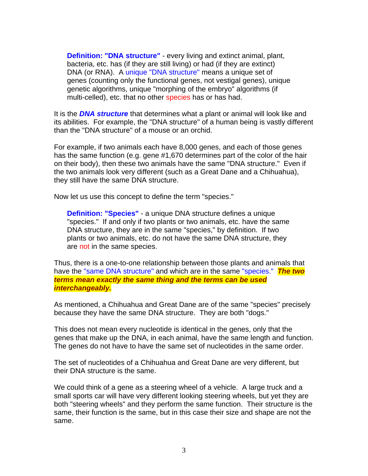**Definition: "DNA structure"** - every living and extinct animal, plant, bacteria, etc. has (if they are still living) or had (if they are extinct) DNA (or RNA). A unique "DNA structure" means a unique set of genes (counting only the functional genes, not vestigal genes), unique genetic algorithms, unique "morphing of the embryo" algorithms (if multi-celled), etc. that no other species has or has had.

It is the *DNA structure* that determines what a plant or animal will look like and its abilities. For example, the "DNA structure" of a human being is vastly different than the "DNA structure" of a mouse or an orchid.

For example, if two animals each have 8,000 genes, and each of those genes has the same function (e.g. gene #1,670 determines part of the color of the hair on their body), then these two animals have the same "DNA structure." Even if the two animals look very different (such as a Great Dane and a Chihuahua), they still have the same DNA structure.

Now let us use this concept to define the term "species."

**Definition: "Species"** - a unique DNA structure defines a unique "species." If and only if two plants or two animals, etc. have the same DNA structure, they are in the same "species," by definition. If two plants or two animals, etc. do not have the same DNA structure, they are not in the same species.

Thus, there is a one-to-one relationship between those plants and animals that have the "same DNA structure" and which are in the same "species." *The two terms mean exactly the same thing and the terms can be used interchangeably.*

As mentioned, a Chihuahua and Great Dane are of the same "species" precisely because they have the same DNA structure. They are both "dogs."

This does not mean every nucleotide is identical in the genes, only that the genes that make up the DNA, in each animal, have the same length and function. The genes do not have to have the same set of nucleotides in the same order.

The set of nucleotides of a Chihuahua and Great Dane are very different, but their DNA structure is the same.

We could think of a gene as a steering wheel of a vehicle. A large truck and a small sports car will have very different looking steering wheels, but yet they are both "steering wheels" and they perform the same function. Their structure is the same, their function is the same, but in this case their size and shape are not the same.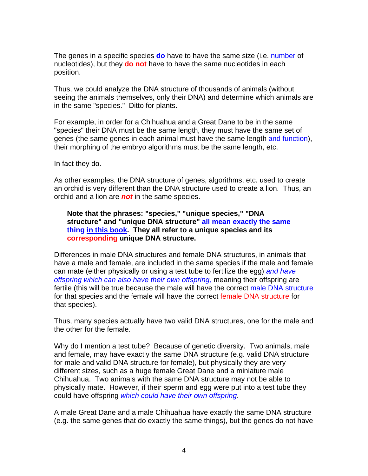The genes in a specific species **do** have to have the same size (i.e. number of nucleotides), but they **do not** have to have the same nucleotides in each position.

Thus, we could analyze the DNA structure of thousands of animals (without seeing the animals themselves, only their DNA) and determine which animals are in the same "species." Ditto for plants.

For example, in order for a Chihuahua and a Great Dane to be in the same "species" their DNA must be the same length, they must have the same set of genes (the same genes in each animal must have the same length and function), their morphing of the embryo algorithms must be the same length, etc.

In fact they do.

As other examples, the DNA structure of genes, algorithms, etc. used to create an orchid is very different than the DNA structure used to create a lion. Thus, an orchid and a lion are *not* in the same species.

**Note that the phrases: "species," "unique species," "DNA structure" and "unique DNA structure" all mean exactly the same thing in this book. They all refer to a unique species and its corresponding unique DNA structure.** 

Differences in male DNA structures and female DNA structures, in animals that have a male and female, are included in the same species if the male and female can mate (either physically or using a test tube to fertilize the egg) *and have offspring which can also have their own offspring,* meaning their offspring are fertile (this will be true because the male will have the correct male DNA structure for that species and the female will have the correct female DNA structure for that species).

Thus, many species actually have two valid DNA structures, one for the male and the other for the female.

Why do I mention a test tube? Because of genetic diversity. Two animals, male and female, may have exactly the same DNA structure (e.g. valid DNA structure for male and valid DNA structure for female), but physically they are very different sizes, such as a huge female Great Dane and a miniature male Chihuahua. Two animals with the same DNA structure may not be able to physically mate. However, if their sperm and egg were put into a test tube they could have offspring *which could have their own offspring*.

A male Great Dane and a male Chihuahua have exactly the same DNA structure (e.g. the same genes that do exactly the same things), but the genes do not have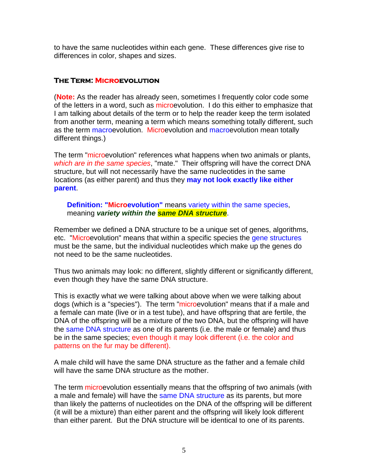to have the same nucleotides within each gene. These differences give rise to differences in color, shapes and sizes.

#### **The Term: Microevolution**

(**Note:** As the reader has already seen, sometimes I frequently color code some of the letters in a word, such as microevolution. I do this either to emphasize that I am talking about details of the term or to help the reader keep the term isolated from another term, meaning a term which means something totally different, such as the term macroevolution. Microevolution and macroevolution mean totally different things.)

The term "microevolution" references what happens when two animals or plants, *which are in the same species*, "mate." Their offspring will have the correct DNA structure, but will not necessarily have the same nucleotides in the same locations (as either parent) and thus they **may not look exactly like either parent**.

**Definition: "Microevolution"** means variety within the same species, meaning *variety within the same DNA structure*.

Remember we defined a DNA structure to be a unique set of genes, algorithms, etc. "Microevolution" means that within a specific species the gene structures must be the same, but the individual nucleotides which make up the genes do not need to be the same nucleotides.

Thus two animals may look: no different, slightly different or significantly different, even though they have the same DNA structure.

This is exactly what we were talking about above when we were talking about dogs (which is a "species"). The term "microevolution" means that if a male and a female can mate (live or in a test tube), and have offspring that are fertile, the DNA of the offspring will be a mixture of the two DNA, but the offspring will have the same DNA structure as one of its parents (i.e. the male or female) and thus be in the same species; even though it may look different (i.e. the color and patterns on the fur may be different).

A male child will have the same DNA structure as the father and a female child will have the same DNA structure as the mother.

The term microevolution essentially means that the offspring of two animals (with a male and female) will have the same DNA structure as its parents, but more than likely the patterns of nucleotides on the DNA of the offspring will be different (it will be a mixture) than either parent and the offspring will likely look different than either parent. But the DNA structure will be identical to one of its parents.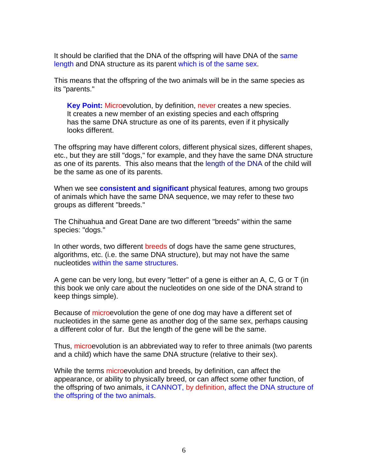It should be clarified that the DNA of the offspring will have DNA of the same length and DNA structure as its parent which is of the same sex.

This means that the offspring of the two animals will be in the same species as its "parents."

**Key Point:** Microevolution, by definition, never creates a new species. It creates a new member of an existing species and each offspring has the same DNA structure as one of its parents, even if it physically looks different.

The offspring may have different colors, different physical sizes, different shapes, etc., but they are still "dogs," for example, and they have the same DNA structure as one of its parents. This also means that the length of the DNA of the child will be the same as one of its parents.

When we see **consistent and significant** physical features, among two groups of animals which have the same DNA sequence, we may refer to these two groups as different "breeds."

The Chihuahua and Great Dane are two different "breeds" within the same species: "dogs."

In other words, two different breeds of dogs have the same gene structures, algorithms, etc. (i.e. the same DNA structure), but may not have the same nucleotides within the same structures.

A gene can be very long, but every "letter" of a gene is either an A, C, G or T (in this book we only care about the nucleotides on one side of the DNA strand to keep things simple).

Because of microevolution the gene of one dog may have a different set of nucleotides in the same gene as another dog of the same sex, perhaps causing a different color of fur. But the length of the gene will be the same.

Thus, microevolution is an abbreviated way to refer to three animals (two parents and a child) which have the same DNA structure (relative to their sex).

While the terms microevolution and breeds, by definition, can affect the appearance, or ability to physically breed, or can affect some other function, of the offspring of two animals, it CANNOT, by definition, affect the DNA structure of the offspring of the two animals.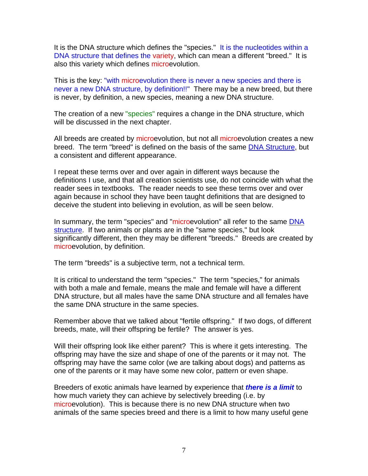It is the DNA structure which defines the "species." It is the nucleotides within a DNA structure that defines the variety, which can mean a different "breed." It is also this variety which defines microevolution.

This is the key: "with microevolution there is never a new species and there is never a new DNA structure, by definition!!" There may be a new breed, but there is never, by definition, a new species, meaning a new DNA structure.

The creation of a new "species" requires a change in the DNA structure, which will be discussed in the next chapter.

All breeds are created by microevolution, but not all microevolution creates a new breed. The term "breed" is defined on the basis of the same DNA Structure, but a consistent and different appearance.

I repeat these terms over and over again in different ways because the definitions I use, and that all creation scientists use, do not coincide with what the reader sees in textbooks. The reader needs to see these terms over and over again because in school they have been taught definitions that are designed to deceive the student into believing in evolution, as will be seen below.

In summary, the term "species" and "microevolution" all refer to the same DNA structure. If two animals or plants are in the "same species," but look significantly different, then they may be different "breeds." Breeds are created by microevolution, by definition.

The term "breeds" is a subjective term, not a technical term.

It is critical to understand the term "species." The term "species," for animals with both a male and female, means the male and female will have a different DNA structure, but all males have the same DNA structure and all females have the same DNA structure in the same species.

Remember above that we talked about "fertile offspring." If two dogs, of different breeds, mate, will their offspring be fertile? The answer is yes.

Will their offspring look like either parent? This is where it gets interesting. The offspring may have the size and shape of one of the parents or it may not. The offspring may have the same color (we are talking about dogs) and patterns as one of the parents or it may have some new color, pattern or even shape.

Breeders of exotic animals have learned by experience that *there is a limit* to how much variety they can achieve by selectively breeding (i.e. by microevolution). This is because there is no new DNA structure when two animals of the same species breed and there is a limit to how many useful gene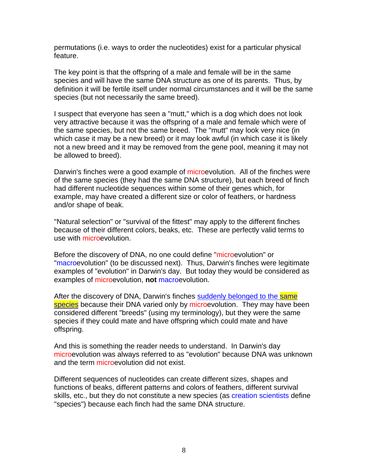permutations (i.e. ways to order the nucleotides) exist for a particular physical feature.

The key point is that the offspring of a male and female will be in the same species and will have the same DNA structure as one of its parents. Thus, by definition it will be fertile itself under normal circumstances and it will be the same species (but not necessarily the same breed).

I suspect that everyone has seen a "mutt," which is a dog which does not look very attractive because it was the offspring of a male and female which were of the same species, but not the same breed. The "mutt" may look very nice (in which case it may be a new breed) or it may look awful (in which case it is likely not a new breed and it may be removed from the gene pool, meaning it may not be allowed to breed).

Darwin's finches were a good example of microevolution. All of the finches were of the same species (they had the same DNA structure), but each breed of finch had different nucleotide sequences within some of their genes which, for example, may have created a different size or color of feathers, or hardness and/or shape of beak.

"Natural selection" or "survival of the fittest" may apply to the different finches because of their different colors, beaks, etc. These are perfectly valid terms to use with microevolution.

Before the discovery of DNA, no one could define "microevolution" or "macroevolution" (to be discussed next). Thus, Darwin's finches were legitimate examples of "evolution" in Darwin's day. But today they would be considered as examples of microevolution, **not** macroevolution.

After the discovery of DNA, Darwin's finches suddenly belonged to the same species because their DNA varied only by microevolution. They may have been considered different "breeds" (using my terminology), but they were the same species if they could mate and have offspring which could mate and have offspring.

And this is something the reader needs to understand. In Darwin's day microevolution was always referred to as "evolution" because DNA was unknown and the term microevolution did not exist.

Different sequences of nucleotides can create different sizes, shapes and functions of beaks, different patterns and colors of feathers, different survival skills, etc., but they do not constitute a new species (as creation scientists define "species") because each finch had the same DNA structure.